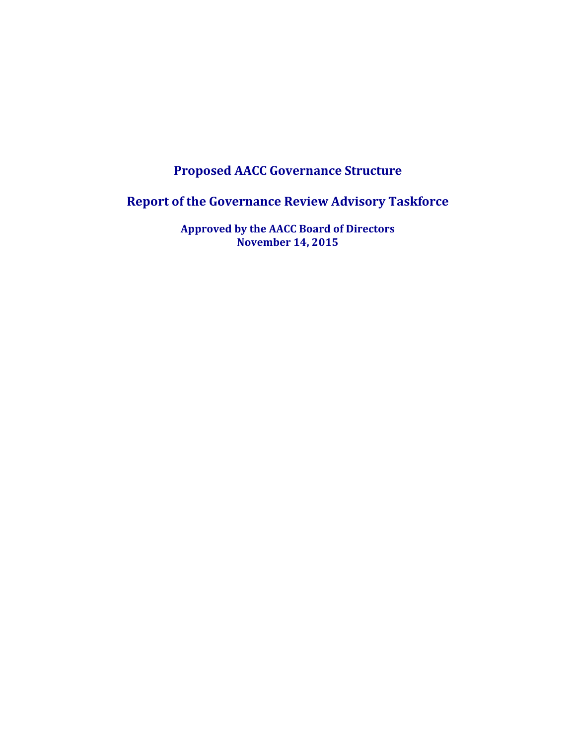# **Proposed AACC Governance Structure**

**Report of the Governance Review Advisory Taskforce**

**Approved by the AACC Board of Directors November 14, 2015**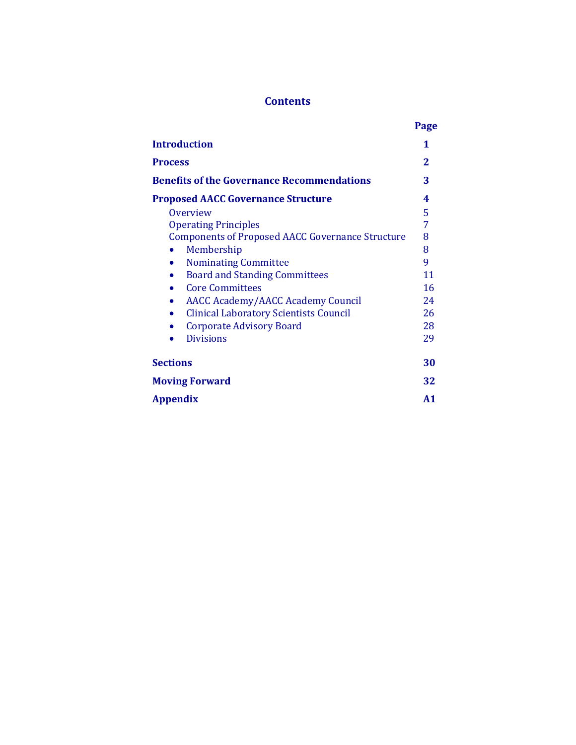# **Contents**

|                                                            | Page |
|------------------------------------------------------------|------|
| <b>Introduction</b>                                        | 1    |
| <b>Process</b>                                             | 2    |
| <b>Benefits of the Governance Recommendations</b>          | 3    |
| <b>Proposed AACC Governance Structure</b>                  | 4    |
| <b>Overview</b>                                            | 5    |
| <b>Operating Principles</b>                                | 7    |
| <b>Components of Proposed AACC Governance Structure</b>    | 8    |
| Membership                                                 | 8    |
| <b>Nominating Committee</b>                                | 9    |
| <b>Board and Standing Committees</b>                       | 11   |
| <b>Core Committees</b>                                     | 16   |
| <b>AACC Academy/AACC Academy Council</b>                   | 24   |
| <b>Clinical Laboratory Scientists Council</b><br>$\bullet$ | 26   |
| <b>Corporate Advisory Board</b>                            | 28   |
| <b>Divisions</b>                                           | 29   |
| <b>Sections</b>                                            | 30   |
| <b>Moving Forward</b>                                      | 32   |
| <b>Appendix</b>                                            | A1   |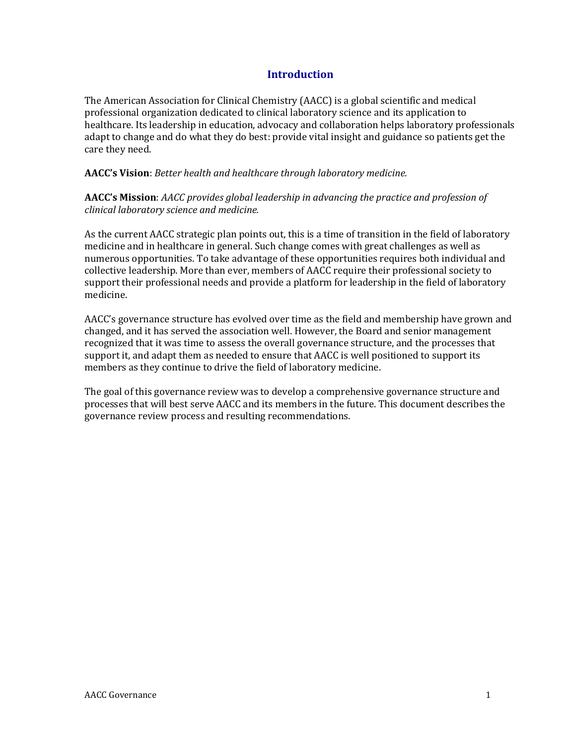# **Introduction**

The American Association for Clinical Chemistry (AACC) is a global scientific and medical professional organization dedicated to clinical laboratory science and its application to healthcare. Its leadership in education, advocacy and collaboration helps laboratory professionals adapt to change and do what they do best: provide vital insight and guidance so patients get the care they need.

**AACC's Vision**: *Better health and healthcare through laboratory medicine.*

**AACC's Mission**: *AACC provides global leadership in advancing the practice and profession of clinical laboratory science and medicine.*

As the current AACC strategic plan points out, this is a time of transition in the field of laboratory medicine and in healthcare in general. Such change comes with great challenges as well as numerous opportunities. To take advantage of these opportunities requires both individual and collective leadership. More than ever, members of AACC require their professional society to support their professional needs and provide a platform for leadership in the field of laboratory medicine.

AACC's governance structure has evolved over time as the field and membership have grown and changed, and it has served the association well. However, the Board and senior management recognized that it was time to assess the overall governance structure, and the processes that support it, and adapt them as needed to ensure that AACC is well positioned to support its members as they continue to drive the field of laboratory medicine.

The goal of this governance review was to develop a comprehensive governance structure and processes that will best serve AACC and its members in the future. This document describes the governance review process and resulting recommendations.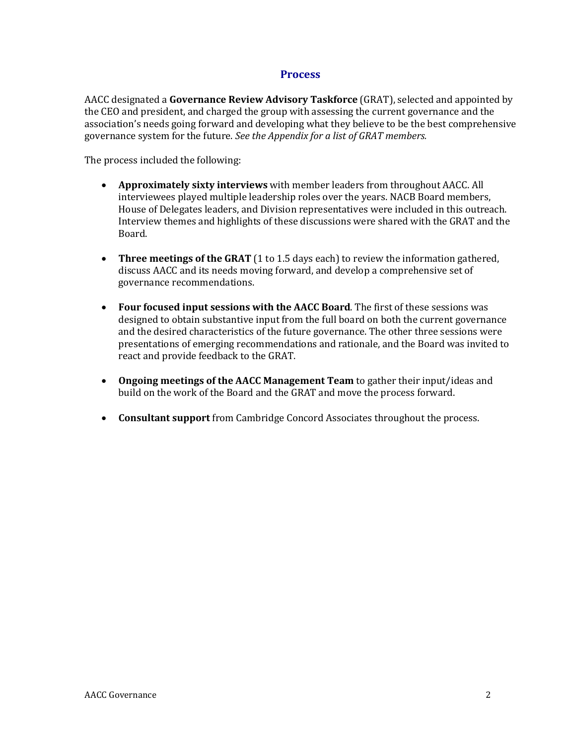### **Process**

AACC designated a **Governance Review Advisory Taskforce** (GRAT), selected and appointed by the CEO and president, and charged the group with assessing the current governance and the association's needs going forward and developing what they believe to be the best comprehensive governance system for the future. *See the Appendix for a list of GRAT members.*

The process included the following:

- **Approximately sixty interviews** with member leaders from throughout AACC. All interviewees played multiple leadership roles over the years. NACB Board members, House of Delegates leaders, and Division representatives were included in this outreach. Interview themes and highlights of these discussions were shared with the GRAT and the Board.
- **Three meetings of the GRAT** (1 to 1.5 days each) to review the information gathered, discuss AACC and its needs moving forward, and develop a comprehensive set of governance recommendations.
- **Four focused input sessions with the AACC Board**. The first of these sessions was designed to obtain substantive input from the full board on both the current governance and the desired characteristics of the future governance. The other three sessions were presentations of emerging recommendations and rationale, and the Board was invited to react and provide feedback to the GRAT.
- **Ongoing meetings of the AACC Management Team** to gather their input/ideas and build on the work of the Board and the GRAT and move the process forward.
- **Consultant support** from Cambridge Concord Associates throughout the process.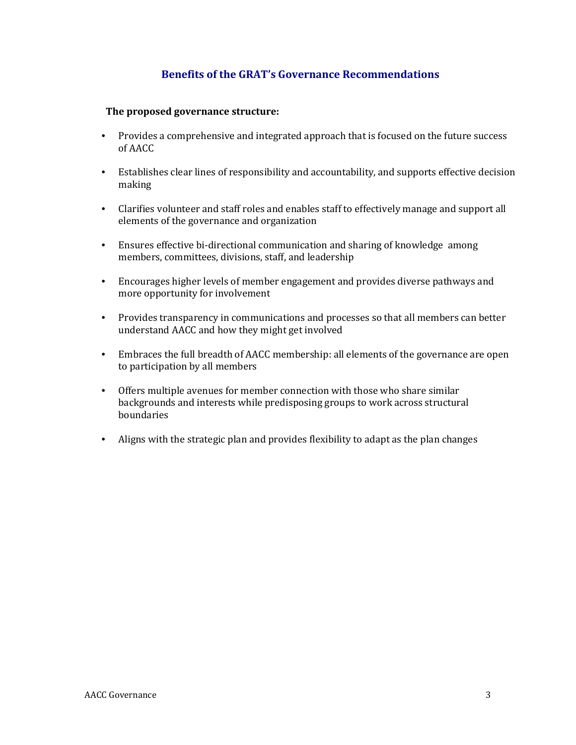# **Benefits of the GRAT's Governance Recommendations**

### **The proposed governance structure:**

- Provides a comprehensive and integrated approach that is focused on the future success of AACC
- Establishes clear lines of responsibility and accountability, and supports effective decision making
- Clarifies volunteer and staff roles and enables staff to effectively manage and support all elements of the governance and organization
- Ensures effective bi-directional communication and sharing of knowledge among members, committees, divisions, staff, and leadership
- Encourages higher levels of member engagement and provides diverse pathways and more opportunity for involvement
- Provides transparency in communications and processes so that all members can better understand AACC and how they might get involved
- Embraces the full breadth of AACC membership: all elements of the governance are open to participation by all members
- Offers multiple avenues for member connection with those who share similar backgrounds and interests while predisposing groups to work across structural boundaries
- Aligns with the strategic plan and provides flexibility to adapt as the plan changes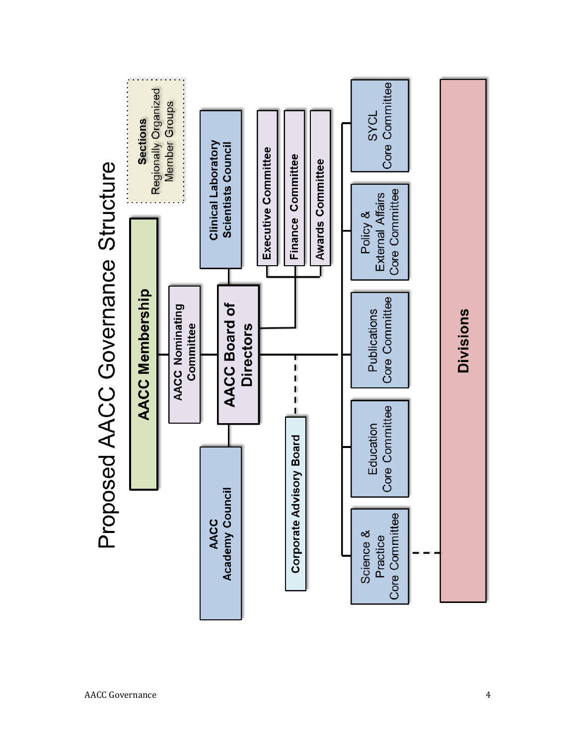

# Proposed AACC Governance Structure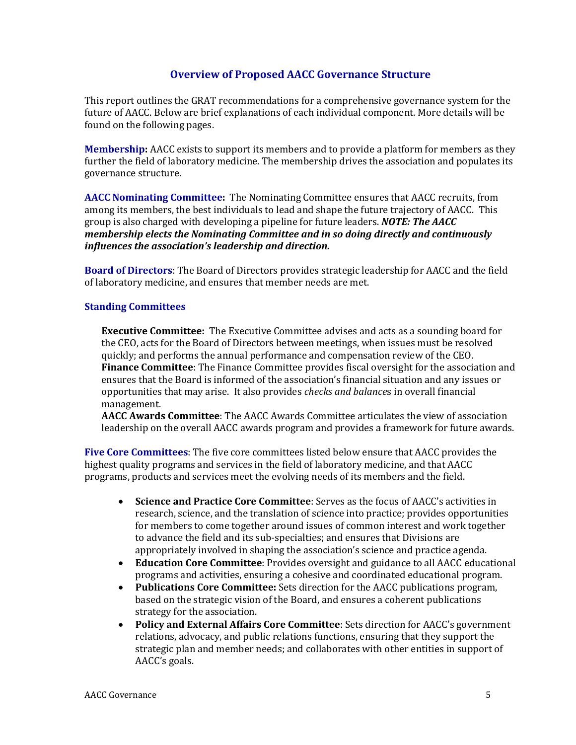## **Overview of Proposed AACC Governance Structure**

This report outlines the GRAT recommendations for a comprehensive governance system for the future of AACC. Below are brief explanations of each individual component. More details will be found on the following pages.

**Membership:** AACC exists to support its members and to provide a platform for members as they further the field of laboratory medicine. The membership drives the association and populates its governance structure.

**AACC Nominating Committee:** The Nominating Committee ensures that AACC recruits, from among its members, the best individuals to lead and shape the future trajectory of AACC. This group is also charged with developing a pipeline for future leaders. *NOTE: The AACC membership elects the Nominating Committee and in so doing directly and continuously influences the association's leadership and direction.*

**Board of Directors**: The Board of Directors provides strategic leadership for AACC and the field of laboratory medicine, and ensures that member needs are met.

### **Standing Committees**

**Executive Committee:** The Executive Committee advises and acts as a sounding board for the CEO, acts for the Board of Directors between meetings, when issues must be resolved quickly; and performs the annual performance and compensation review of the CEO. **Finance Committee**: The Finance Committee provides fiscal oversight for the association and ensures that the Board is informed of the association's financial situation and any issues or opportunities that may arise. It also provides *checks and balance*s in overall financial management.

**AACC Awards Committee**: The AACC Awards Committee articulates the view of association leadership on the overall AACC awards program and provides a framework for future awards.

**Five Core Committees**: The five core committees listed below ensure that AACC provides the highest quality programs and services in the field of laboratory medicine, and that AACC programs, products and services meet the evolving needs of its members and the field.

- **Science and Practice Core Committee**: Serves as the focus of AACC's activities in research, science, and the translation of science into practice; provides opportunities for members to come together around issues of common interest and work together to advance the field and its sub-specialties; and ensures that Divisions are appropriately involved in shaping the association's science and practice agenda.
- **Education Core Committee**: Provides oversight and guidance to all AACC educational programs and activities, ensuring a cohesive and coordinated educational program.
- **Publications Core Committee:** Sets direction for the AACC publications program, based on the strategic vision of the Board, and ensures a coherent publications strategy for the association.
- **Policy and External Affairs Core Committee**: Sets direction for AACC's government relations, advocacy, and public relations functions, ensuring that they support the strategic plan and member needs; and collaborates with other entities in support of AACC's goals.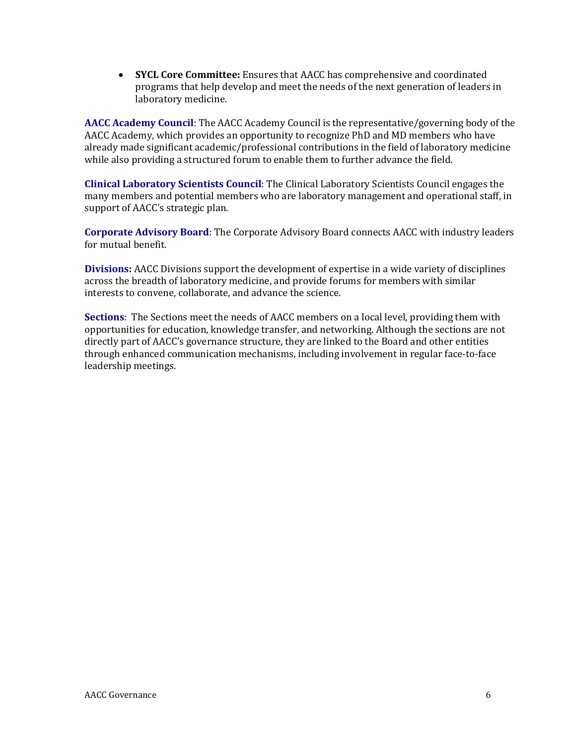• **SYCL Core Committee:** Ensures that AACC has comprehensive and coordinated programs that help develop and meet the needs of the next generation of leaders in laboratory medicine.

**AACC Academy Council**: The AACC Academy Council is the representative/governing body of the AACC Academy, which provides an opportunity to recognize PhD and MD members who have already made significant academic/professional contributions in the field of laboratory medicine while also providing a structured forum to enable them to further advance the field.

**Clinical Laboratory Scientists Council**: The Clinical Laboratory Scientists Council engages the many members and potential members who are laboratory management and operational staff, in support of AACC's strategic plan.

**Corporate Advisory Board**: The Corporate Advisory Board connects AACC with industry leaders for mutual benefit.

**Divisions:** AACC Divisions support the development of expertise in a wide variety of disciplines across the breadth of laboratory medicine, and provide forums for members with similar interests to convene, collaborate, and advance the science.

**Sections**: The Sections meet the needs of AACC members on a local level, providing them with opportunities for education, knowledge transfer, and networking. Although the sections are not directly part of AACC's governance structure, they are linked to the Board and other entities through enhanced communication mechanisms, including involvement in regular face-to-face leadership meetings.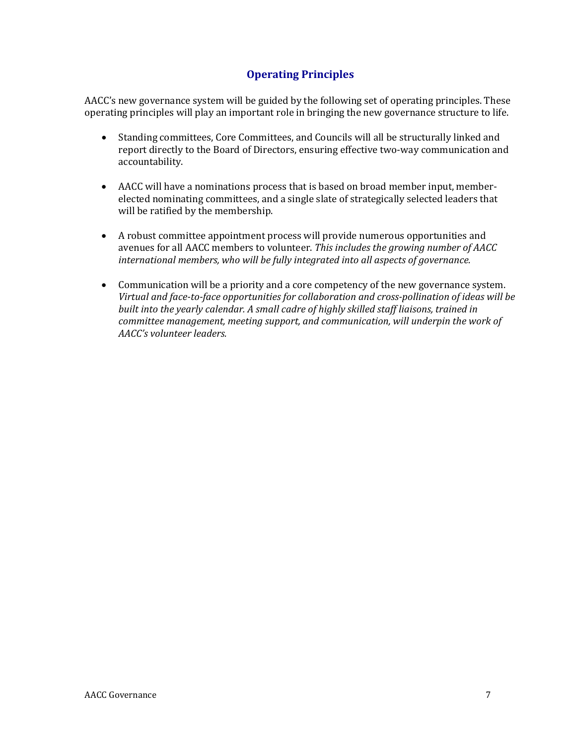# **Operating Principles**

AACC's new governance system will be guided by the following set of operating principles. These operating principles will play an important role in bringing the new governance structure to life.

- Standing committees, Core Committees, and Councils will all be structurally linked and report directly to the Board of Directors, ensuring effective two-way communication and accountability.
- AACC will have a nominations process that is based on broad member input, memberelected nominating committees, and a single slate of strategically selected leaders that will be ratified by the membership.
- A robust committee appointment process will provide numerous opportunities and avenues for all AACC members to volunteer. *This includes the growing number of AACC international members, who will be fully integrated into all aspects of governance.*
- Communication will be a priority and a core competency of the new governance system. *Virtual and face-to-face opportunities for collaboration and cross-pollination of ideas will be built into the yearly calendar. A small cadre of highly skilled staff liaisons, trained in committee management, meeting support, and communication, will underpin the work of AACC's volunteer leaders.*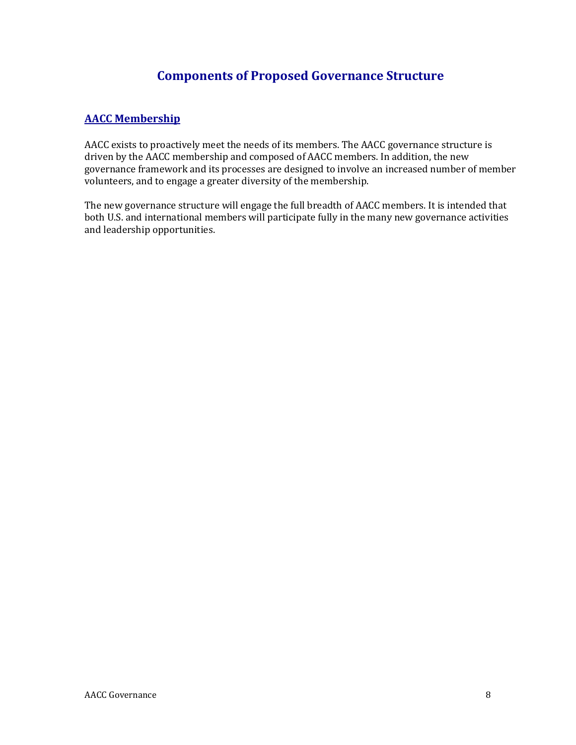# **Components of Proposed Governance Structure**

# **AACC Membership**

AACC exists to proactively meet the needs of its members. The AACC governance structure is driven by the AACC membership and composed of AACC members. In addition, the new governance framework and its processes are designed to involve an increased number of member volunteers, and to engage a greater diversity of the membership.

The new governance structure will engage the full breadth of AACC members. It is intended that both U.S. and international members will participate fully in the many new governance activities and leadership opportunities.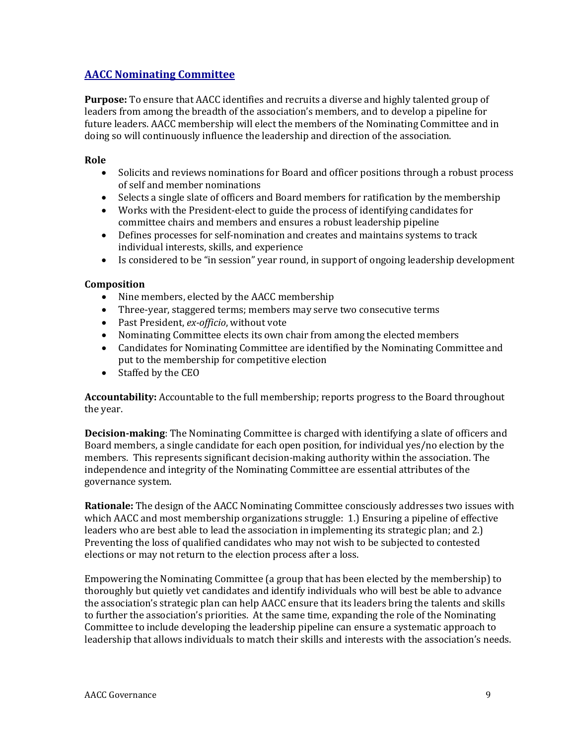# **AACC Nominating Committee**

**Purpose:** To ensure that AACC identifies and recruits a diverse and highly talented group of leaders from among the breadth of the association's members, and to develop a pipeline for future leaders. AACC membership will elect the members of the Nominating Committee and in doing so will continuously influence the leadership and direction of the association.

### **Role**

- Solicits and reviews nominations for Board and officer positions through a robust process of self and member nominations
- Selects a single slate of officers and Board members for ratification by the membership
- Works with the President-elect to guide the process of identifying candidates for committee chairs and members and ensures a robust leadership pipeline
- Defines processes for self-nomination and creates and maintains systems to track individual interests, skills, and experience
- Is considered to be "in session" year round, in support of ongoing leadership development

### **Composition**

- Nine members, elected by the AACC membership
- Three-year, staggered terms; members may serve two consecutive terms
- Past President, *ex-officio*, without vote
- Nominating Committee elects its own chair from among the elected members
- Candidates for Nominating Committee are identified by the Nominating Committee and put to the membership for competitive election
- Staffed by the CEO

**Accountability:** Accountable to the full membership; reports progress to the Board throughout the year.

**Decision-making**: The Nominating Committee is charged with identifying a slate of officers and Board members, a single candidate for each open position, for individual yes/no election by the members. This represents significant decision-making authority within the association. The independence and integrity of the Nominating Committee are essential attributes of the governance system.

**Rationale:** The design of the AACC Nominating Committee consciously addresses two issues with which AACC and most membership organizations struggle: 1.) Ensuring a pipeline of effective leaders who are best able to lead the association in implementing its strategic plan; and 2.) Preventing the loss of qualified candidates who may not wish to be subjected to contested elections or may not return to the election process after a loss.

Empowering the Nominating Committee (a group that has been elected by the membership) to thoroughly but quietly vet candidates and identify individuals who will best be able to advance the association's strategic plan can help AACC ensure that its leaders bring the talents and skills to further the association's priorities. At the same time, expanding the role of the Nominating Committee to include developing the leadership pipeline can ensure a systematic approach to leadership that allows individuals to match their skills and interests with the association's needs.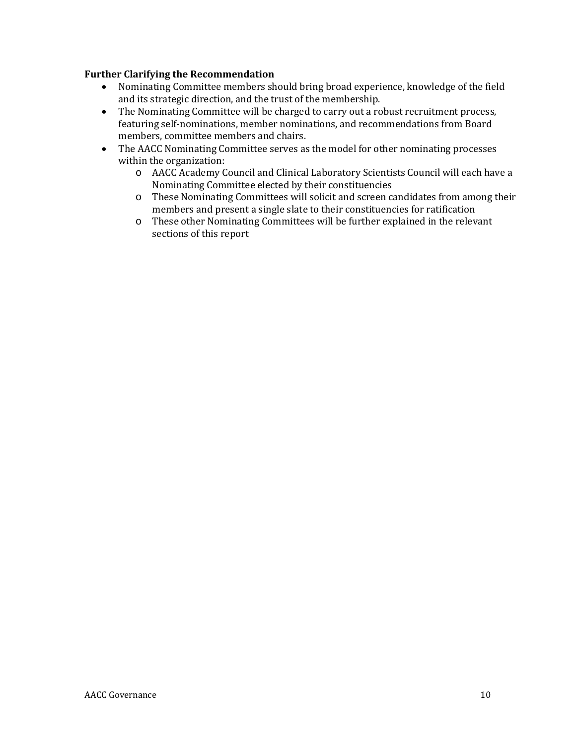- Nominating Committee members should bring broad experience, knowledge of the field and its strategic direction, and the trust of the membership.
- The Nominating Committee will be charged to carry out a robust recruitment process, featuring self-nominations, member nominations, and recommendations from Board members, committee members and chairs.
- The AACC Nominating Committee serves as the model for other nominating processes within the organization:
	- o AACC Academy Council and Clinical Laboratory Scientists Council will each have a Nominating Committee elected by their constituencies
	- o These Nominating Committees will solicit and screen candidates from among their members and present a single slate to their constituencies for ratification
	- o These other Nominating Committees will be further explained in the relevant sections of this report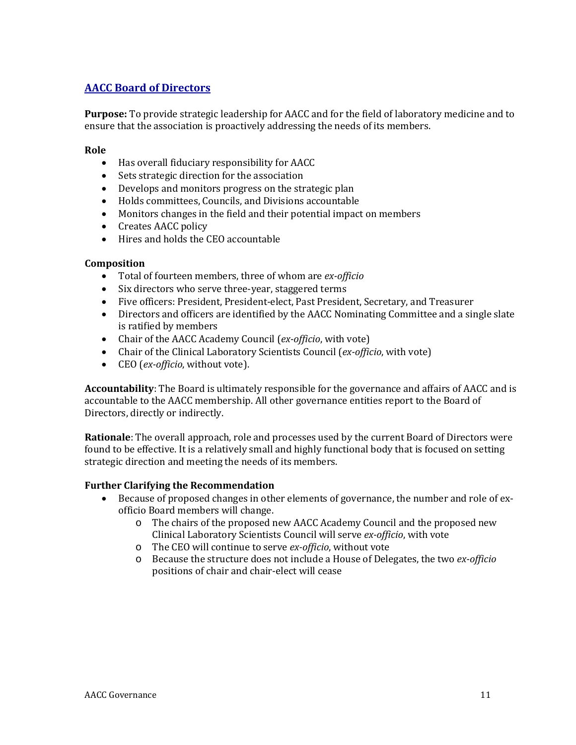# **AACC Board of Directors**

**Purpose:** To provide strategic leadership for AACC and for the field of laboratory medicine and to ensure that the association is proactively addressing the needs of its members.

### **Role**

- Has overall fiduciary responsibility for AACC
- Sets strategic direction for the association
- Develops and monitors progress on the strategic plan
- Holds committees, Councils, and Divisions accountable
- Monitors changes in the field and their potential impact on members
- Creates AACC policy
- Hires and holds the CEO accountable

### **Composition**

- Total of fourteen members, three of whom are *ex-officio*
- Six directors who serve three-year, staggered terms
- Five officers: President, President-elect, Past President, Secretary, and Treasurer
- Directors and officers are identified by the AACC Nominating Committee and a single slate is ratified by members
- Chair of the AACC Academy Council (*ex-officio*, with vote)
- Chair of the Clinical Laboratory Scientists Council (*ex-officio*, with vote)
- CEO (*ex-officio*, without vote).

**Accountability**: The Board is ultimately responsible for the governance and affairs of AACC and is accountable to the AACC membership. All other governance entities report to the Board of Directors, directly or indirectly.

**Rationale**: The overall approach, role and processes used by the current Board of Directors were found to be effective. It is a relatively small and highly functional body that is focused on setting strategic direction and meeting the needs of its members.

- Because of proposed changes in other elements of governance, the number and role of exofficio Board members will change.
	- o The chairs of the proposed new AACC Academy Council and the proposed new Clinical Laboratory Scientists Council will serve *ex-officio*, with vote
	- o The CEO will continue to serve *ex-officio*, without vote
	- o Because the structure does not include a House of Delegates, the two *ex-officio* positions of chair and chair-elect will cease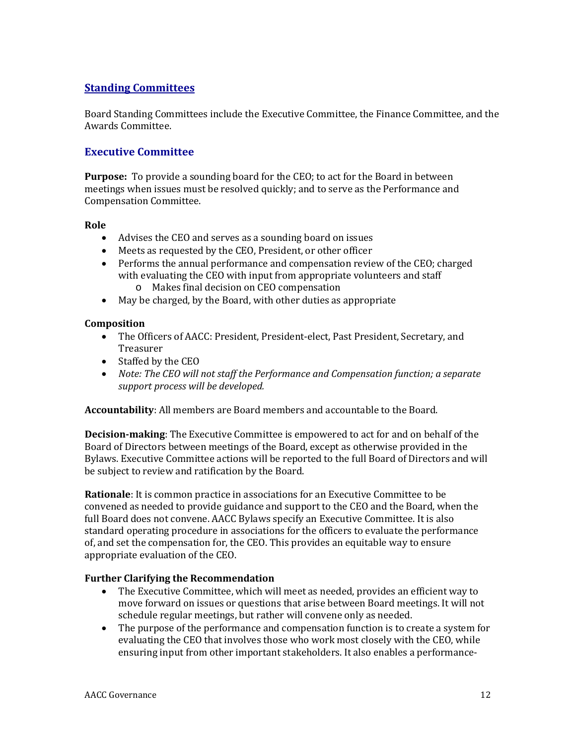# **Standing Committees**

Board Standing Committees include the Executive Committee, the Finance Committee, and the Awards Committee.

# **Executive Committee**

**Purpose:** To provide a sounding board for the CEO; to act for the Board in between meetings when issues must be resolved quickly; and to serve as the Performance and Compensation Committee.

### **Role**

- Advises the CEO and serves as a sounding board on issues
- Meets as requested by the CEO, President, or other officer
- Performs the annual performance and compensation review of the CEO; charged with evaluating the CEO with input from appropriate volunteers and staff
	- o Makes final decision on CEO compensation
- May be charged, by the Board, with other duties as appropriate

### **Composition**

- The Officers of AACC: President, President-elect, Past President, Secretary, and Treasurer
- Staffed by the CEO
- *Note: The CEO will not staff the Performance and Compensation function; a separate support process will be developed.*

**Accountability**: All members are Board members and accountable to the Board.

**Decision-making**: The Executive Committee is empowered to act for and on behalf of the Board of Directors between meetings of the Board, except as otherwise provided in the Bylaws. Executive Committee actions will be reported to the full Board of Directors and will be subject to review and ratification by the Board.

**Rationale**: It is common practice in associations for an Executive Committee to be convened as needed to provide guidance and support to the CEO and the Board, when the full Board does not convene. AACC Bylaws specify an Executive Committee. It is also standard operating procedure in associations for the officers to evaluate the performance of, and set the compensation for, the CEO. This provides an equitable way to ensure appropriate evaluation of the CEO.

- The Executive Committee, which will meet as needed, provides an efficient way to move forward on issues or questions that arise between Board meetings. It will not schedule regular meetings, but rather will convene only as needed.
- The purpose of the performance and compensation function is to create a system for evaluating the CEO that involves those who work most closely with the CEO, while ensuring input from other important stakeholders. It also enables a performance-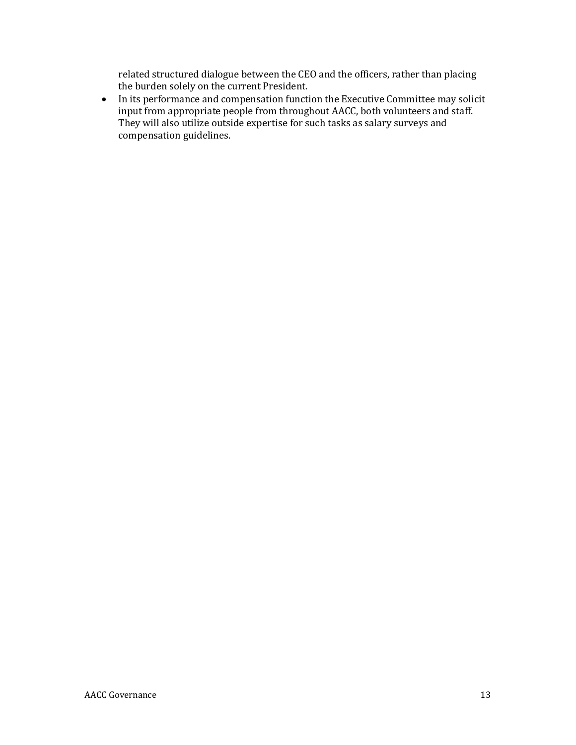related structured dialogue between the CEO and the officers, rather than placing the burden solely on the current President.

• In its performance and compensation function the Executive Committee may solicit input from appropriate people from throughout AACC, both volunteers and staff. They will also utilize outside expertise for such tasks as salary surveys and compensation guidelines.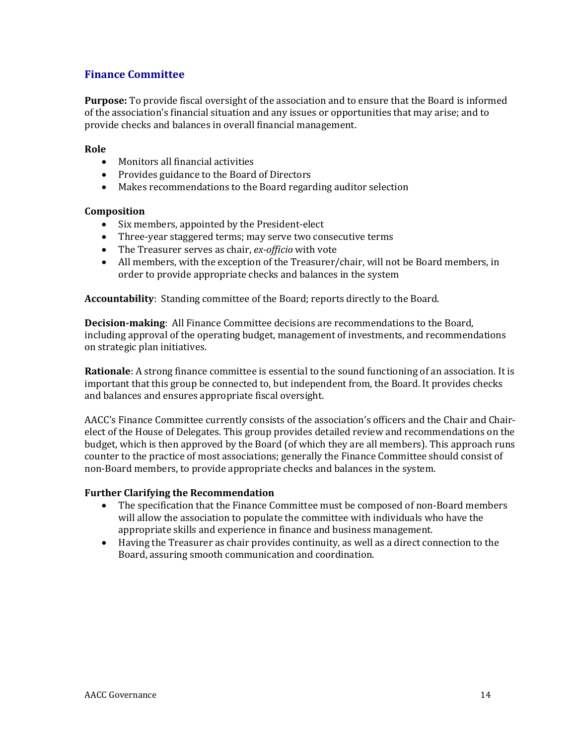# **Finance Committee**

**Purpose:** To provide fiscal oversight of the association and to ensure that the Board is informed of the association's financial situation and any issues or opportunities that may arise; and to provide checks and balances in overall financial management.

### **Role**

- Monitors all financial activities
- Provides guidance to the Board of Directors
- Makes recommendations to the Board regarding auditor selection

### **Composition**

- Six members, appointed by the President-elect
- Three-year staggered terms; may serve two consecutive terms
- The Treasurer serves as chair, *ex-officio* with vote
- All members, with the exception of the Treasurer/chair, will not be Board members, in order to provide appropriate checks and balances in the system

**Accountability**: Standing committee of the Board; reports directly to the Board.

**Decision-making**: All Finance Committee decisions are recommendations to the Board, including approval of the operating budget, management of investments, and recommendations on strategic plan initiatives.

**Rationale**: A strong finance committee is essential to the sound functioning of an association. It is important that this group be connected to, but independent from, the Board. It provides checks and balances and ensures appropriate fiscal oversight.

AACC's Finance Committee currently consists of the association's officers and the Chair and Chairelect of the House of Delegates. This group provides detailed review and recommendations on the budget, which is then approved by the Board (of which they are all members). This approach runs counter to the practice of most associations; generally the Finance Committee should consist of non-Board members, to provide appropriate checks and balances in the system.

- The specification that the Finance Committee must be composed of non-Board members will allow the association to populate the committee with individuals who have the appropriate skills and experience in finance and business management.
- Having the Treasurer as chair provides continuity, as well as a direct connection to the Board, assuring smooth communication and coordination.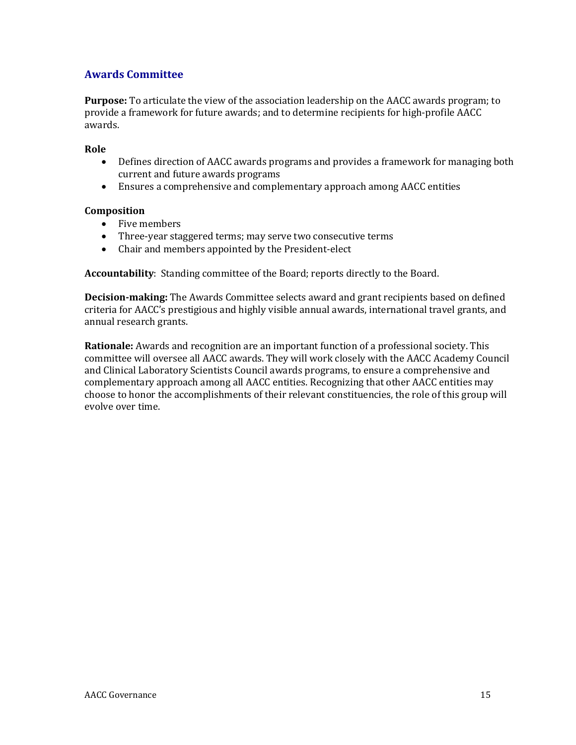# **Awards Committee**

**Purpose:** To articulate the view of the association leadership on the AACC awards program; to provide a framework for future awards; and to determine recipients for high-profile AACC awards.

### **Role**

- Defines direction of AACC awards programs and provides a framework for managing both current and future awards programs
- Ensures a comprehensive and complementary approach among AACC entities

### **Composition**

- Five members
- Three-year staggered terms; may serve two consecutive terms
- Chair and members appointed by the President-elect

**Accountability**: Standing committee of the Board; reports directly to the Board.

**Decision-making:** The Awards Committee selects award and grant recipients based on defined criteria for AACC's prestigious and highly visible annual awards, international travel grants, and annual research grants.

**Rationale:** Awards and recognition are an important function of a professional society. This committee will oversee all AACC awards. They will work closely with the AACC Academy Council and Clinical Laboratory Scientists Council awards programs, to ensure a comprehensive and complementary approach among all AACC entities. Recognizing that other AACC entities may choose to honor the accomplishments of their relevant constituencies, the role of this group will evolve over time.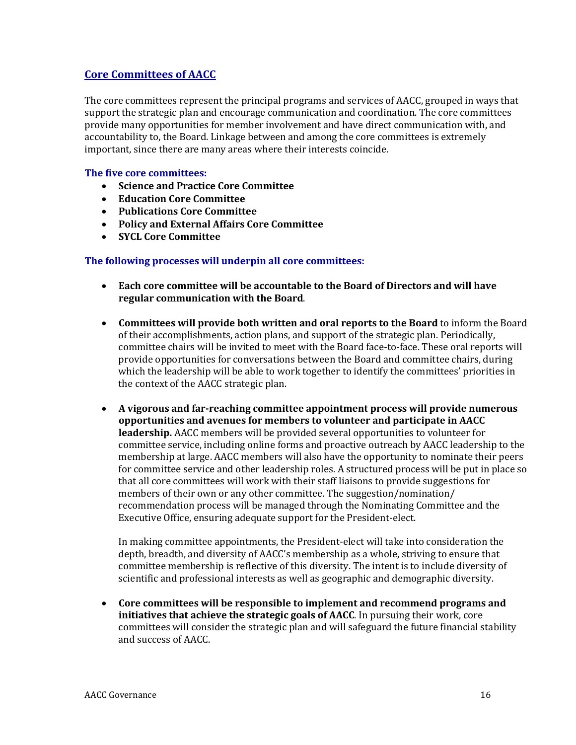# **Core Committees of AACC**

The core committees represent the principal programs and services of AACC, grouped in ways that support the strategic plan and encourage communication and coordination. The core committees provide many opportunities for member involvement and have direct communication with, and accountability to, the Board. Linkage between and among the core committees is extremely important, since there are many areas where their interests coincide.

### **The five core committees:**

- **Science and Practice Core Committee**
- **Education Core Committee**
- **Publications Core Committee**
- **Policy and External Affairs Core Committee**
- **SYCL Core Committee**

### **The following processes will underpin all core committees:**

- **Each core committee will be accountable to the Board of Directors and will have regular communication with the Board**.
- **Committees will provide both written and oral reports to the Board** to inform the Board of their accomplishments, action plans, and support of the strategic plan. Periodically, committee chairs will be invited to meet with the Board face-to-face. These oral reports will provide opportunities for conversations between the Board and committee chairs, during which the leadership will be able to work together to identify the committees' priorities in the context of the AACC strategic plan.
- **A vigorous and far-reaching committee appointment process will provide numerous opportunities and avenues for members to volunteer and participate in AACC leadership.** AACC members will be provided several opportunities to volunteer for committee service, including online forms and proactive outreach by AACC leadership to the membership at large. AACC members will also have the opportunity to nominate their peers for committee service and other leadership roles. A structured process will be put in place so that all core committees will work with their staff liaisons to provide suggestions for members of their own or any other committee. The suggestion/nomination/ recommendation process will be managed through the Nominating Committee and the Executive Office, ensuring adequate support for the President-elect.

In making committee appointments, the President-elect will take into consideration the depth, breadth, and diversity of AACC's membership as a whole, striving to ensure that committee membership is reflective of this diversity. The intent is to include diversity of scientific and professional interests as well as geographic and demographic diversity.

• **Core committees will be responsible to implement and recommend programs and initiatives that achieve the strategic goals of AACC**. In pursuing their work, core committees will consider the strategic plan and will safeguard the future financial stability and success of AACC.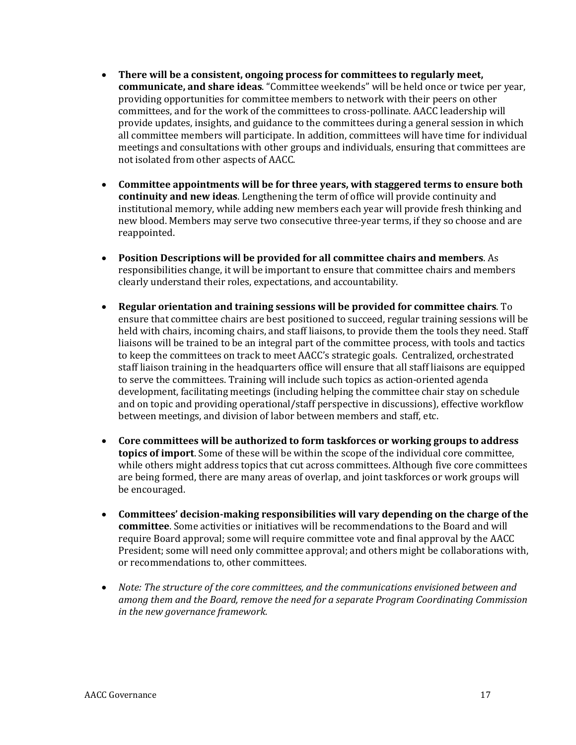- **There will be a consistent, ongoing process for committees to regularly meet, communicate, and share ideas**. "Committee weekends" will be held once or twice per year, providing opportunities for committee members to network with their peers on other committees, and for the work of the committees to cross-pollinate. AACC leadership will provide updates, insights, and guidance to the committees during a general session in which all committee members will participate. In addition, committees will have time for individual meetings and consultations with other groups and individuals, ensuring that committees are not isolated from other aspects of AACC.
- **Committee appointments will be for three years, with staggered terms to ensure both continuity and new ideas**. Lengthening the term of office will provide continuity and institutional memory, while adding new members each year will provide fresh thinking and new blood. Members may serve two consecutive three-year terms, if they so choose and are reappointed.
- **Position Descriptions will be provided for all committee chairs and members**. As responsibilities change, it will be important to ensure that committee chairs and members clearly understand their roles, expectations, and accountability.
- **Regular orientation and training sessions will be provided for committee chairs**. To ensure that committee chairs are best positioned to succeed, regular training sessions will be held with chairs, incoming chairs, and staff liaisons, to provide them the tools they need. Staff liaisons will be trained to be an integral part of the committee process, with tools and tactics to keep the committees on track to meet AACC's strategic goals. Centralized, orchestrated staff liaison training in the headquarters office will ensure that all staff liaisons are equipped to serve the committees. Training will include such topics as action-oriented agenda development, facilitating meetings (including helping the committee chair stay on schedule and on topic and providing operational/staff perspective in discussions), effective workflow between meetings, and division of labor between members and staff, etc.
- **Core committees will be authorized to form taskforces or working groups to address topics of import**. Some of these will be within the scope of the individual core committee, while others might address topics that cut across committees. Although five core committees are being formed, there are many areas of overlap, and joint taskforces or work groups will be encouraged.
- **Committees' decision-making responsibilities will vary depending on the charge of the committee**. Some activities or initiatives will be recommendations to the Board and will require Board approval; some will require committee vote and final approval by the AACC President; some will need only committee approval; and others might be collaborations with, or recommendations to, other committees.
- *Note: The structure of the core committees, and the communications envisioned between and among them and the Board, remove the need for a separate Program Coordinating Commission in the new governance framework.*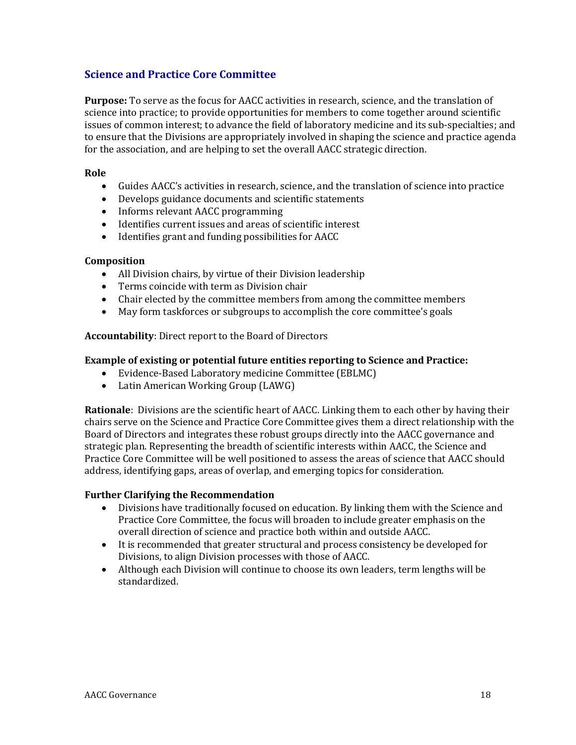# **Science and Practice Core Committee**

**Purpose:** To serve as the focus for AACC activities in research, science, and the translation of science into practice; to provide opportunities for members to come together around scientific issues of common interest; to advance the field of laboratory medicine and its sub-specialties; and to ensure that the Divisions are appropriately involved in shaping the science and practice agenda for the association, and are helping to set the overall AACC strategic direction.

### **Role**

- Guides AACC's activities in research, science, and the translation of science into practice
- Develops guidance documents and scientific statements
- Informs relevant AACC programming
- Identifies current issues and areas of scientific interest
- Identifies grant and funding possibilities for AACC

### **Composition**

- All Division chairs, by virtue of their Division leadership
- Terms coincide with term as Division chair
- Chair elected by the committee members from among the committee members
- May form taskforces or subgroups to accomplish the core committee's goals

**Accountability**: Direct report to the Board of Directors

### **Example of existing or potential future entities reporting to Science and Practice:**

- Evidence-Based Laboratory medicine Committee (EBLMC)
- Latin American Working Group (LAWG)

**Rationale**: Divisions are the scientific heart of AACC. Linking them to each other by having their chairs serve on the Science and Practice Core Committee gives them a direct relationship with the Board of Directors and integrates these robust groups directly into the AACC governance and strategic plan. Representing the breadth of scientific interests within AACC, the Science and Practice Core Committee will be well positioned to assess the areas of science that AACC should address, identifying gaps, areas of overlap, and emerging topics for consideration.

- Divisions have traditionally focused on education. By linking them with the Science and Practice Core Committee, the focus will broaden to include greater emphasis on the overall direction of science and practice both within and outside AACC.
- It is recommended that greater structural and process consistency be developed for Divisions, to align Division processes with those of AACC.
- Although each Division will continue to choose its own leaders, term lengths will be standardized.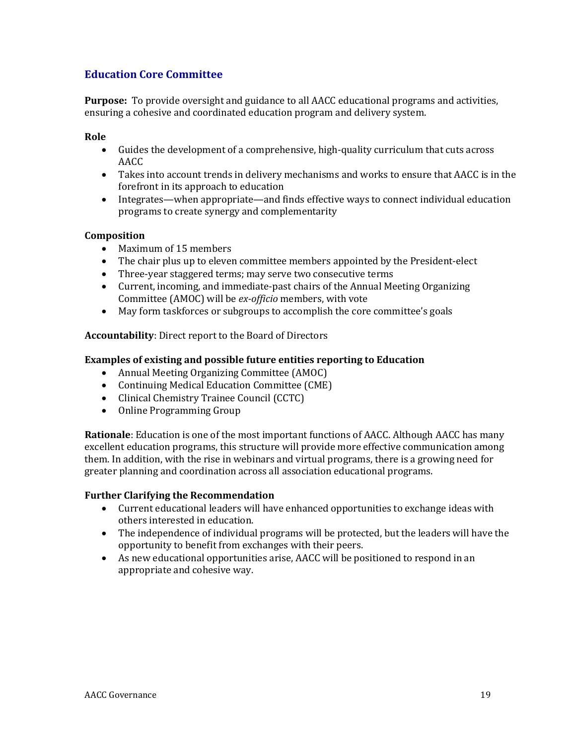# **Education Core Committee**

**Purpose:** To provide oversight and guidance to all AACC educational programs and activities, ensuring a cohesive and coordinated education program and delivery system.

### **Role**

- Guides the development of a comprehensive, high-quality curriculum that cuts across AACC
- Takes into account trends in delivery mechanisms and works to ensure that AACC is in the forefront in its approach to education
- Integrates—when appropriate—and finds effective ways to connect individual education programs to create synergy and complementarity

### **Composition**

- Maximum of 15 members
- The chair plus up to eleven committee members appointed by the President-elect
- Three-year staggered terms; may serve two consecutive terms
- Current, incoming, and immediate-past chairs of the Annual Meeting Organizing Committee (AMOC) will be *ex-officio* members, with vote
- May form taskforces or subgroups to accomplish the core committee's goals

### **Accountability**: Direct report to the Board of Directors

### **Examples of existing and possible future entities reporting to Education**

- Annual Meeting Organizing Committee (AMOC)
- Continuing Medical Education Committee (CME)
- Clinical Chemistry Trainee Council (CCTC)
- Online Programming Group

**Rationale**: Education is one of the most important functions of AACC. Although AACC has many excellent education programs, this structure will provide more effective communication among them. In addition, with the rise in webinars and virtual programs, there is a growing need for greater planning and coordination across all association educational programs.

- Current educational leaders will have enhanced opportunities to exchange ideas with others interested in education.
- The independence of individual programs will be protected, but the leaders will have the opportunity to benefit from exchanges with their peers.
- As new educational opportunities arise, AACC will be positioned to respond in an appropriate and cohesive way.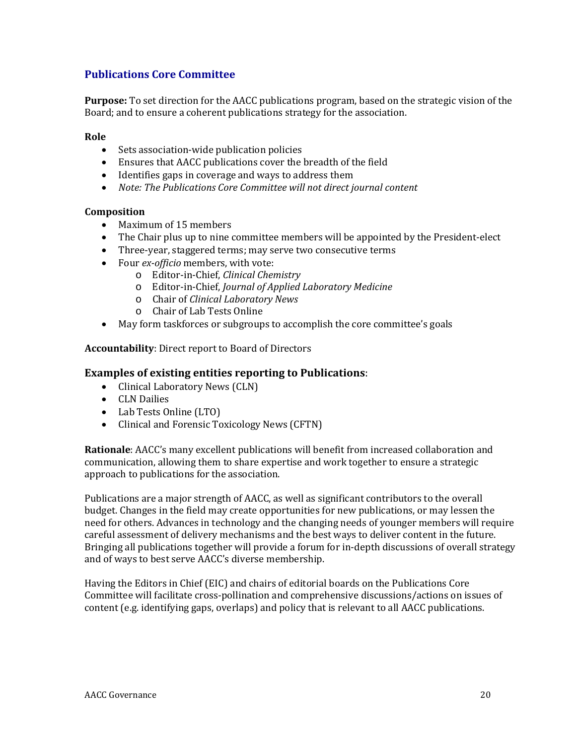# **Publications Core Committee**

**Purpose:** To set direction for the AACC publications program, based on the strategic vision of the Board; and to ensure a coherent publications strategy for the association.

### **Role**

- Sets association-wide publication policies
- Ensures that AACC publications cover the breadth of the field
- Identifies gaps in coverage and ways to address them
- *Note: The Publications Core Committee will not direct journal content*

### **Composition**

- Maximum of 15 members
- The Chair plus up to nine committee members will be appointed by the President-elect
- Three-year, staggered terms; may serve two consecutive terms
- Four *ex-officio* members, with vote:
	- o Editor-in-Chief, *Clinical Chemistry*
	- o Editor-in-Chief, *Journal of Applied Laboratory Medicine*
	- o Chair of *Clinical Laboratory News*
	- o Chair of Lab Tests Online
- May form taskforces or subgroups to accomplish the core committee's goals

### **Accountability**: Direct report to Board of Directors

### **Examples of existing entities reporting to Publications**:

- Clinical Laboratory News (CLN)
- CLN Dailies
- Lab Tests Online (LTO)
- Clinical and Forensic Toxicology News (CFTN)

**Rationale**: AACC's many excellent publications will benefit from increased collaboration and communication, allowing them to share expertise and work together to ensure a strategic approach to publications for the association.

Publications are a major strength of AACC, as well as significant contributors to the overall budget. Changes in the field may create opportunities for new publications, or may lessen the need for others. Advances in technology and the changing needs of younger members will require careful assessment of delivery mechanisms and the best ways to deliver content in the future. Bringing all publications together will provide a forum for in-depth discussions of overall strategy and of ways to best serve AACC's diverse membership.

Having the Editors in Chief (EIC) and chairs of editorial boards on the Publications Core Committee will facilitate cross-pollination and comprehensive discussions/actions on issues of content (e.g. identifying gaps, overlaps) and policy that is relevant to all AACC publications.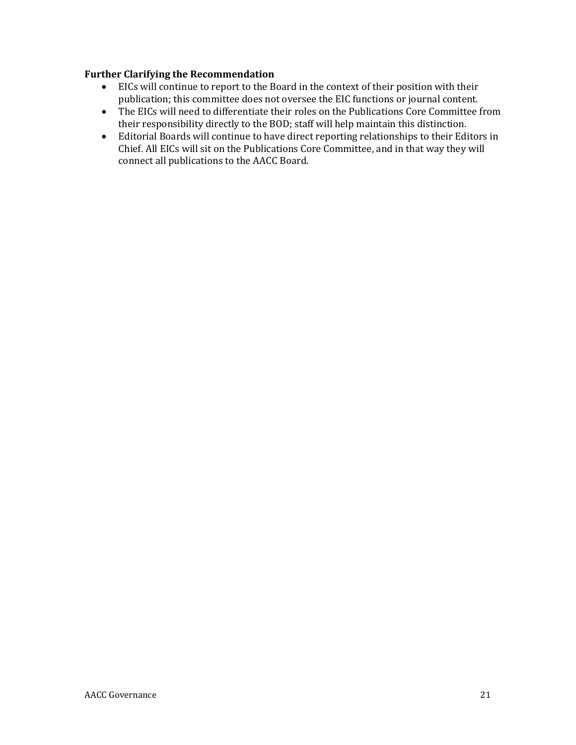- EICs will continue to report to the Board in the context of their position with their publication; this committee does not oversee the EIC functions or journal content.
- The EICs will need to differentiate their roles on the Publications Core Committee from their responsibility directly to the BOD; staff will help maintain this distinction.
- Editorial Boards will continue to have direct reporting relationships to their Editors in Chief. All EICs will sit on the Publications Core Committee, and in that way they will connect all publications to the AACC Board.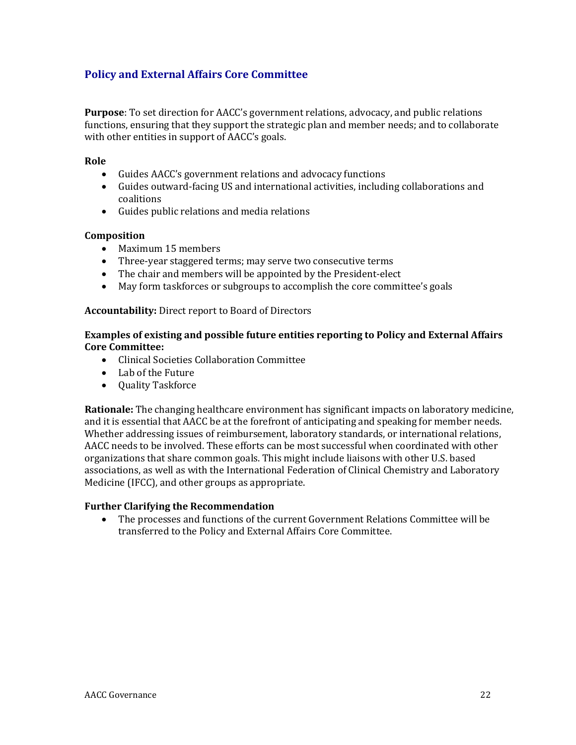# **Policy and External Affairs Core Committee**

**Purpose**: To set direction for AACC's government relations, advocacy, and public relations functions, ensuring that they support the strategic plan and member needs; and to collaborate with other entities in support of AACC's goals.

### **Role**

- Guides AACC's government relations and advocacy functions
- Guides outward-facing US and international activities, including collaborations and coalitions
- Guides public relations and media relations

### **Composition**

- Maximum 15 members
- Three-year staggered terms; may serve two consecutive terms
- The chair and members will be appointed by the President-elect
- May form taskforces or subgroups to accomplish the core committee's goals

### **Accountability:** Direct report to Board of Directors

### **Examples of existing and possible future entities reporting to Policy and External Affairs Core Committee:**

- Clinical Societies Collaboration Committee
- Lab of the Future
- Quality Taskforce

**Rationale:** The changing healthcare environment has significant impacts on laboratory medicine, and it is essential that AACC be at the forefront of anticipating and speaking for member needs. Whether addressing issues of reimbursement, laboratory standards, or international relations, AACC needs to be involved. These efforts can be most successful when coordinated with other organizations that share common goals. This might include liaisons with other U.S. based associations, as well as with the International Federation of Clinical Chemistry and Laboratory Medicine (IFCC), and other groups as appropriate.

### **Further Clarifying the Recommendation**

• The processes and functions of the current Government Relations Committee will be transferred to the Policy and External Affairs Core Committee.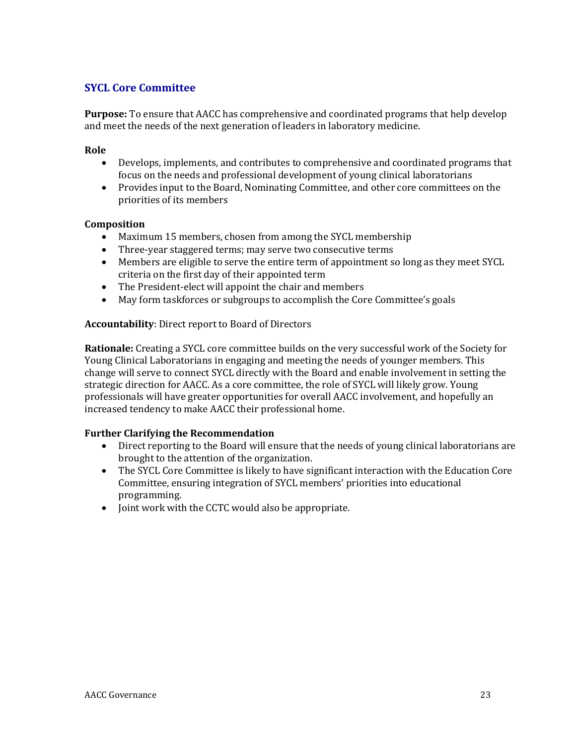# **SYCL Core Committee**

**Purpose:** To ensure that AACC has comprehensive and coordinated programs that help develop and meet the needs of the next generation of leaders in laboratory medicine.

### **Role**

- Develops, implements, and contributes to comprehensive and coordinated programs that focus on the needs and professional development of young clinical laboratorians
- Provides input to the Board, Nominating Committee, and other core committees on the priorities of its members

### **Composition**

- Maximum 15 members, chosen from among the SYCL membership
- Three-year staggered terms; may serve two consecutive terms
- Members are eligible to serve the entire term of appointment so long as they meet SYCL criteria on the first day of their appointed term
- The President-elect will appoint the chair and members
- May form taskforces or subgroups to accomplish the Core Committee's goals

### **Accountability**: Direct report to Board of Directors

**Rationale:** Creating a SYCL core committee builds on the very successful work of the Society for Young Clinical Laboratorians in engaging and meeting the needs of younger members. This change will serve to connect SYCL directly with the Board and enable involvement in setting the strategic direction for AACC. As a core committee, the role of SYCL will likely grow. Young professionals will have greater opportunities for overall AACC involvement, and hopefully an increased tendency to make AACC their professional home.

- Direct reporting to the Board will ensure that the needs of young clinical laboratorians are brought to the attention of the organization.
- The SYCL Core Committee is likely to have significant interaction with the Education Core Committee, ensuring integration of SYCL members' priorities into educational programming.
- Joint work with the CCTC would also be appropriate.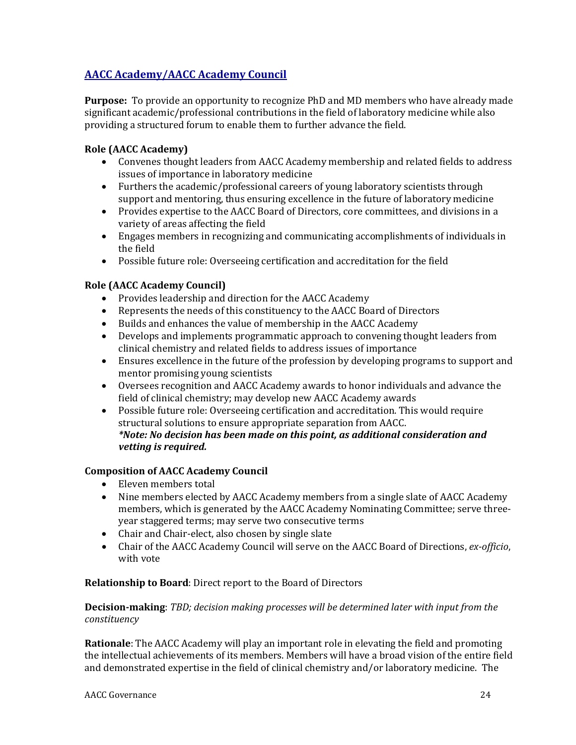# **AACC Academy/AACC Academy Council**

**Purpose:** To provide an opportunity to recognize PhD and MD members who have already made significant academic/professional contributions in the field of laboratory medicine while also providing a structured forum to enable them to further advance the field.

# **Role (AACC Academy)**

- Convenes thought leaders from AACC Academy membership and related fields to address issues of importance in laboratory medicine
- Furthers the academic/professional careers of young laboratory scientists through support and mentoring, thus ensuring excellence in the future of laboratory medicine
- Provides expertise to the AACC Board of Directors, core committees, and divisions in a variety of areas affecting the field
- Engages members in recognizing and communicating accomplishments of individuals in the field
- Possible future role: Overseeing certification and accreditation for the field

# **Role (AACC Academy Council)**

- Provides leadership and direction for the AACC Academy
- Represents the needs of this constituency to the AACC Board of Directors
- Builds and enhances the value of membership in the AACC Academy
- Develops and implements programmatic approach to convening thought leaders from clinical chemistry and related fields to address issues of importance
- Ensures excellence in the future of the profession by developing programs to support and mentor promising young scientists
- Oversees recognition and AACC Academy awards to honor individuals and advance the field of clinical chemistry; may develop new AACC Academy awards
- Possible future role: Overseeing certification and accreditation. This would require structural solutions to ensure appropriate separation from AACC. *\*Note: No decision has been made on this point, as additional consideration and vetting is required.*

### **Composition of AACC Academy Council**

- Eleven members total
- Nine members elected by AACC Academy members from a single slate of AACC Academy members, which is generated by the AACC Academy Nominating Committee; serve threeyear staggered terms; may serve two consecutive terms
- Chair and Chair-elect, also chosen by single slate
- Chair of the AACC Academy Council will serve on the AACC Board of Directions, *ex-officio*, with vote

### **Relationship to Board**: Direct report to the Board of Directors

### **Decision-making**: *TBD; decision making processes will be determined later with input from the constituency*

**Rationale**: The AACC Academy will play an important role in elevating the field and promoting the intellectual achievements of its members. Members will have a broad vision of the entire field and demonstrated expertise in the field of clinical chemistry and/or laboratory medicine. The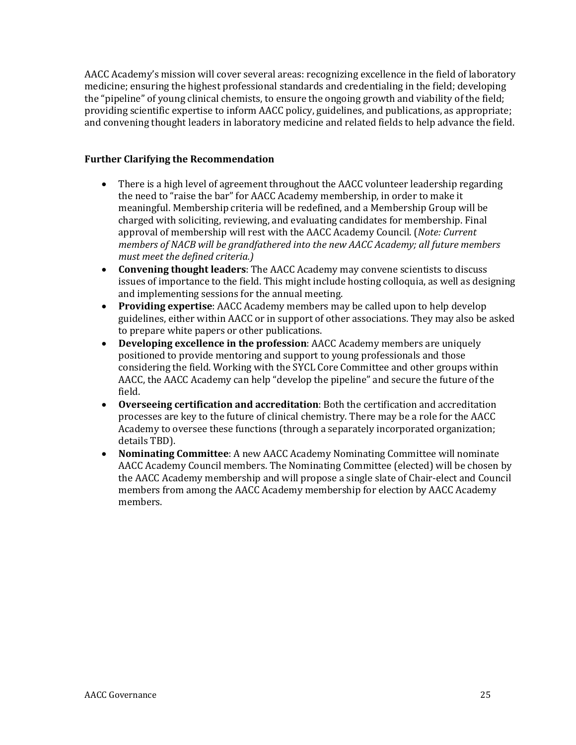AACC Academy's mission will cover several areas: recognizing excellence in the field of laboratory medicine; ensuring the highest professional standards and credentialing in the field; developing the "pipeline" of young clinical chemists, to ensure the ongoing growth and viability of the field; providing scientific expertise to inform AACC policy, guidelines, and publications, as appropriate; and convening thought leaders in laboratory medicine and related fields to help advance the field.

- There is a high level of agreement throughout the AACC volunteer leadership regarding the need to "raise the bar" for AACC Academy membership, in order to make it meaningful. Membership criteria will be redefined, and a Membership Group will be charged with soliciting, reviewing, and evaluating candidates for membership. Final approval of membership will rest with the AACC Academy Council. (*Note: Current members of NACB will be grandfathered into the new AACC Academy; all future members must meet the defined criteria.)*
- **Convening thought leaders**: The AACC Academy may convene scientists to discuss issues of importance to the field. This might include hosting colloquia, as well as designing and implementing sessions for the annual meeting.
- **Providing expertise**: AACC Academy members may be called upon to help develop guidelines, either within AACC or in support of other associations. They may also be asked to prepare white papers or other publications.
- **Developing excellence in the profession**: AACC Academy members are uniquely positioned to provide mentoring and support to young professionals and those considering the field. Working with the SYCL Core Committee and other groups within AACC, the AACC Academy can help "develop the pipeline" and secure the future of the field.
- **Overseeing certification and accreditation**: Both the certification and accreditation processes are key to the future of clinical chemistry. There may be a role for the AACC Academy to oversee these functions (through a separately incorporated organization; details TBD).
- **Nominating Committee**: A new AACC Academy Nominating Committee will nominate AACC Academy Council members. The Nominating Committee (elected) will be chosen by the AACC Academy membership and will propose a single slate of Chair-elect and Council members from among the AACC Academy membership for election by AACC Academy members.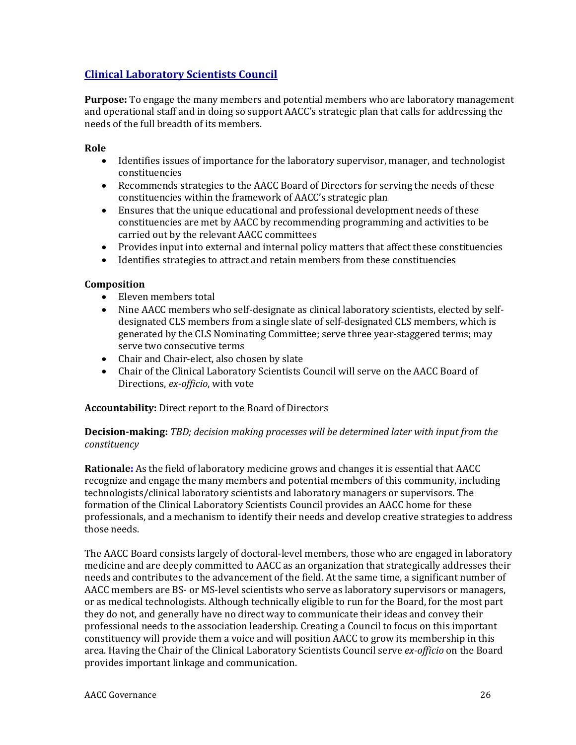# **Clinical Laboratory Scientists Council**

**Purpose:** To engage the many members and potential members who are laboratory management and operational staff and in doing so support AACC's strategic plan that calls for addressing the needs of the full breadth of its members.

### **Role**

- Identifies issues of importance for the laboratory supervisor, manager, and technologist constituencies
- Recommends strategies to the AACC Board of Directors for serving the needs of these constituencies within the framework of AACC's strategic plan
- Ensures that the unique educational and professional development needs of these constituencies are met by AACC by recommending programming and activities to be carried out by the relevant AACC committees
- Provides input into external and internal policy matters that affect these constituencies
- Identifies strategies to attract and retain members from these constituencies

### **Composition**

- Eleven members total
- Nine AACC members who self-designate as clinical laboratory scientists, elected by selfdesignated CLS members from a single slate of self-designated CLS members, which is generated by the CLS Nominating Committee; serve three year-staggered terms; may serve two consecutive terms
- Chair and Chair-elect, also chosen by slate
- Chair of the Clinical Laboratory Scientists Council will serve on the AACC Board of Directions, *ex-officio*, with vote

### **Accountability:** Direct report to the Board of Directors

### **Decision-making:** *TBD; decision making processes will be determined later with input from the constituency*

**Rationale:** As the field of laboratory medicine grows and changes it is essential that AACC recognize and engage the many members and potential members of this community, including technologists/clinical laboratory scientists and laboratory managers or supervisors. The formation of the Clinical Laboratory Scientists Council provides an AACC home for these professionals, and a mechanism to identify their needs and develop creative strategies to address those needs.

The AACC Board consists largely of doctoral-level members, those who are engaged in laboratory medicine and are deeply committed to AACC as an organization that strategically addresses their needs and contributes to the advancement of the field. At the same time, a significant number of AACC members are BS- or MS-level scientists who serve as laboratory supervisors or managers, or as medical technologists. Although technically eligible to run for the Board, for the most part they do not, and generally have no direct way to communicate their ideas and convey their professional needs to the association leadership. Creating a Council to focus on this important constituency will provide them a voice and will position AACC to grow its membership in this area. Having the Chair of the Clinical Laboratory Scientists Council serve *ex-officio* on the Board provides important linkage and communication.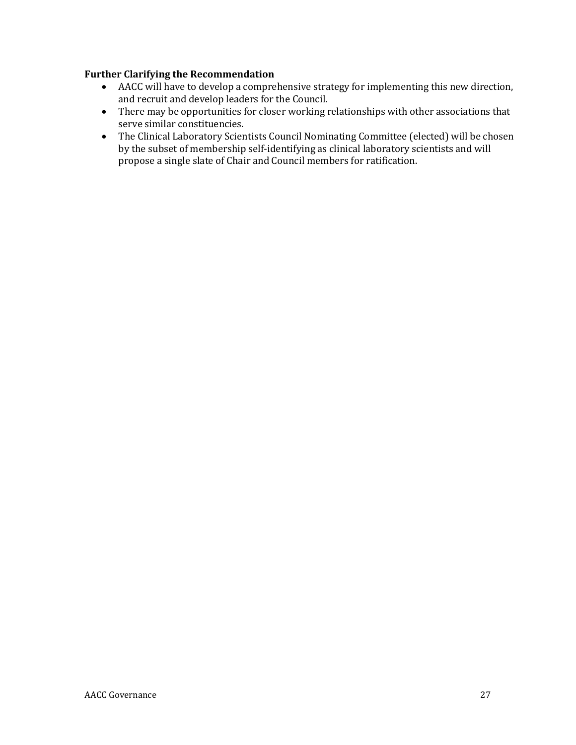- AACC will have to develop a comprehensive strategy for implementing this new direction, and recruit and develop leaders for the Council.
- There may be opportunities for closer working relationships with other associations that serve similar constituencies.
- The Clinical Laboratory Scientists Council Nominating Committee (elected) will be chosen by the subset of membership self-identifying as clinical laboratory scientists and will propose a single slate of Chair and Council members for ratification.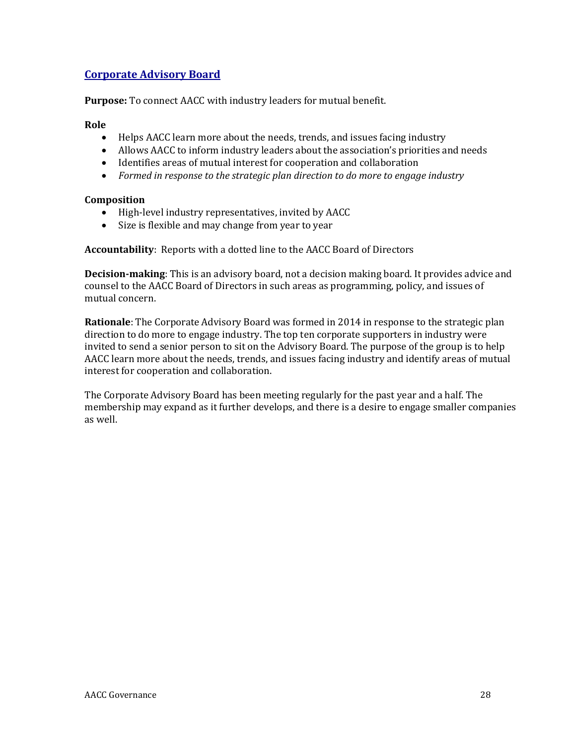# **Corporate Advisory Board**

**Purpose:** To connect AACC with industry leaders for mutual benefit.

### **Role**

- Helps AACC learn more about the needs, trends, and issues facing industry
- Allows AACC to inform industry leaders about the association's priorities and needs
- Identifies areas of mutual interest for cooperation and collaboration
- *Formed in response to the strategic plan direction to do more to engage industry*

### **Composition**

- High-level industry representatives, invited by AACC
- Size is flexible and may change from year to year

**Accountability**: Reports with a dotted line to the AACC Board of Directors

**Decision-making**: This is an advisory board, not a decision making board. It provides advice and counsel to the AACC Board of Directors in such areas as programming, policy, and issues of mutual concern.

**Rationale**: The Corporate Advisory Board was formed in 2014 in response to the strategic plan direction to do more to engage industry. The top ten corporate supporters in industry were invited to send a senior person to sit on the Advisory Board. The purpose of the group is to help AACC learn more about the needs, trends, and issues facing industry and identify areas of mutual interest for cooperation and collaboration.

The Corporate Advisory Board has been meeting regularly for the past year and a half. The membership may expand as it further develops, and there is a desire to engage smaller companies as well.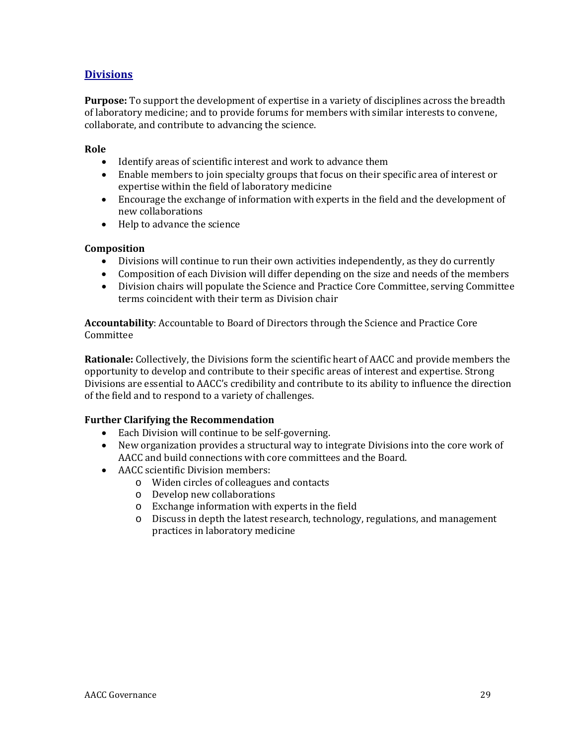# **Divisions**

**Purpose:** To support the development of expertise in a variety of disciplines across the breadth of laboratory medicine; and to provide forums for members with similar interests to convene, collaborate, and contribute to advancing the science.

### **Role**

- Identify areas of scientific interest and work to advance them
- Enable members to join specialty groups that focus on their specific area of interest or expertise within the field of laboratory medicine
- Encourage the exchange of information with experts in the field and the development of new collaborations
- Help to advance the science

### **Composition**

- Divisions will continue to run their own activities independently, as they do currently
- Composition of each Division will differ depending on the size and needs of the members
- Division chairs will populate the Science and Practice Core Committee, serving Committee terms coincident with their term as Division chair

**Accountability**: Accountable to Board of Directors through the Science and Practice Core Committee

**Rationale:** Collectively, the Divisions form the scientific heart of AACC and provide members the opportunity to develop and contribute to their specific areas of interest and expertise. Strong Divisions are essential to AACC's credibility and contribute to its ability to influence the direction of the field and to respond to a variety of challenges.

- Each Division will continue to be self-governing.
- New organization provides a structural way to integrate Divisions into the core work of AACC and build connections with core committees and the Board.
- AACC scientific Division members:
	- o Widen circles of colleagues and contacts
	- o Develop new collaborations
	- o Exchange information with experts in the field
	- o Discuss in depth the latest research, technology, regulations, and management practices in laboratory medicine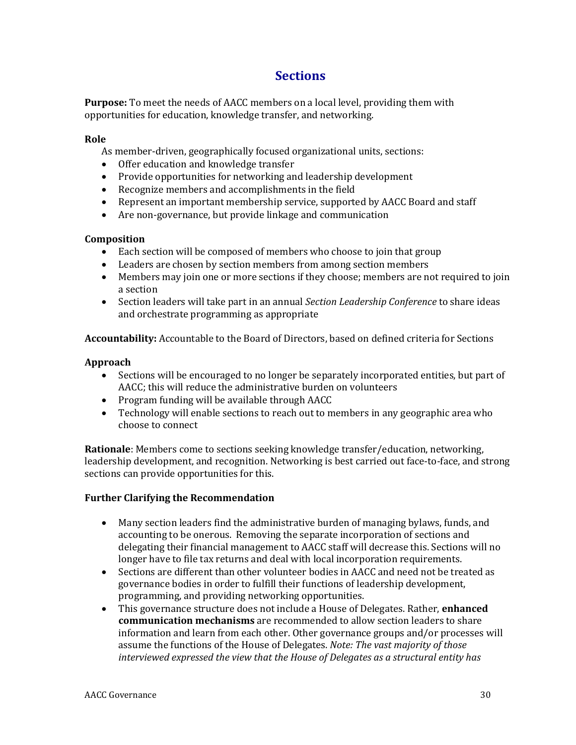# **Sections**

**Purpose:** To meet the needs of AACC members on a local level, providing them with opportunities for education, knowledge transfer, and networking.

### **Role**

- As member-driven, geographically focused organizational units, sections:
- Offer education and knowledge transfer
- Provide opportunities for networking and leadership development
- Recognize members and accomplishments in the field
- Represent an important membership service, supported by AACC Board and staff
- Are non-governance, but provide linkage and communication

### **Composition**

- Each section will be composed of members who choose to join that group
- Leaders are chosen by section members from among section members
- Members may join one or more sections if they choose; members are not required to join a section
- Section leaders will take part in an annual *Section Leadership Conference* to share ideas and orchestrate programming as appropriate

**Accountability:** Accountable to the Board of Directors, based on defined criteria for Sections

### **Approach**

- Sections will be encouraged to no longer be separately incorporated entities, but part of AACC; this will reduce the administrative burden on volunteers
- Program funding will be available through AACC
- Technology will enable sections to reach out to members in any geographic area who choose to connect

**Rationale**: Members come to sections seeking knowledge transfer/education, networking, leadership development, and recognition. Networking is best carried out face-to-face, and strong sections can provide opportunities for this.

- Many section leaders find the administrative burden of managing bylaws, funds, and accounting to be onerous. Removing the separate incorporation of sections and delegating their financial management to AACC staff will decrease this. Sections will no longer have to file tax returns and deal with local incorporation requirements.
- Sections are different than other volunteer bodies in AACC and need not be treated as governance bodies in order to fulfill their functions of leadership development, programming, and providing networking opportunities.
- This governance structure does not include a House of Delegates. Rather, **enhanced communication mechanisms** are recommended to allow section leaders to share information and learn from each other. Other governance groups and/or processes will assume the functions of the House of Delegates. *Note: The vast majority of those interviewed expressed the view that the House of Delegates as a structural entity has*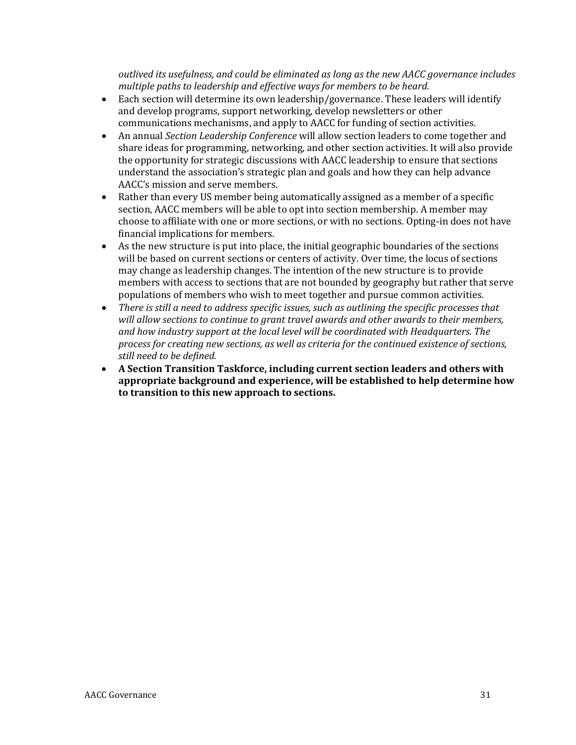*outlived its usefulness, and could be eliminated as long as the new AACC governance includes multiple paths to leadership and effective ways for members to be heard.* 

- Each section will determine its own leadership/governance. These leaders will identify and develop programs, support networking, develop newsletters or other communications mechanisms, and apply to AACC for funding of section activities.
- An annual *Section Leadership Conference* will allow section leaders to come together and share ideas for programming, networking, and other section activities. It will also provide the opportunity for strategic discussions with AACC leadership to ensure that sections understand the association's strategic plan and goals and how they can help advance AACC's mission and serve members.
- Rather than every US member being automatically assigned as a member of a specific section, AACC members will be able to opt into section membership. A member may choose to affiliate with one or more sections, or with no sections. Opting-in does not have financial implications for members.
- As the new structure is put into place, the initial geographic boundaries of the sections will be based on current sections or centers of activity. Over time, the locus of sections may change as leadership changes. The intention of the new structure is to provide members with access to sections that are not bounded by geography but rather that serve populations of members who wish to meet together and pursue common activities.
- *There is still a need to address specific issues, such as outlining the specific processes that will allow sections to continue to grant travel awards and other awards to their members, and how industry support at the local level will be coordinated with Headquarters. The process for creating new sections, as well as criteria for the continued existence of sections, still need to be defined.*
- **A Section Transition Taskforce, including current section leaders and others with appropriate background and experience, will be established to help determine how to transition to this new approach to sections.**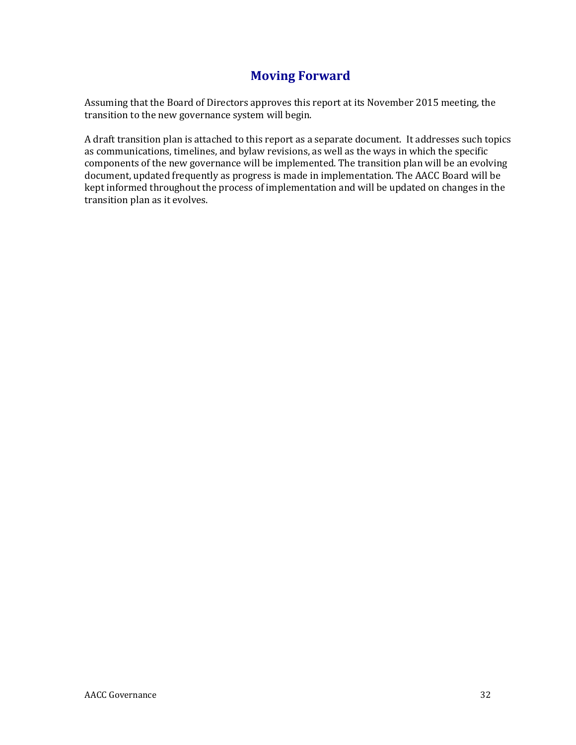# **Moving Forward**

Assuming that the Board of Directors approves this report at its November 2015 meeting, the transition to the new governance system will begin.

A draft transition plan is attached to this report as a separate document. It addresses such topics as communications, timelines, and bylaw revisions, as well as the ways in which the specific components of the new governance will be implemented. The transition plan will be an evolving document, updated frequently as progress is made in implementation. The AACC Board will be kept informed throughout the process of implementation and will be updated on changes in the transition plan as it evolves.